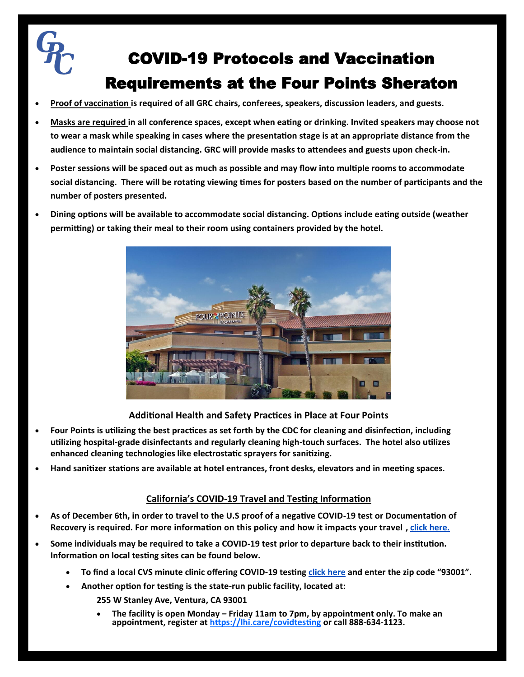

- **Proof of vaccination is required of all GRC chairs, conferees, speakers, discussion leaders, and guests.**
- **Masks are required in all conference spaces, except when eating or drinking. Invited speakers may choose not to wear a mask while speaking in cases where the presentation stage is at an appropriate distance from the audience to maintain social distancing. GRC will provide masks to attendees and guests upon check-in.**
- **Poster sessions will be spaced out as much as possible and may flow into multiple rooms to accommodate social distancing. There will be rotating viewing times for posters based on the number of participants and the number of posters presented.**
- **Dining options will be available to accommodate social distancing. Options include eating outside (weather permitting) or taking their meal to their room using containers provided by the hotel.**



# **Additional Health and Safety Practices in Place at Four Points**

- **Four Points is utilizing the best practices as set forth by the CDC for cleaning and disinfection, including utilizing hospital-grade disinfectants and regularly cleaning high-touch surfaces. The hotel also utilizes enhanced cleaning technologies like electrostatic sprayers for sanitizing.**
- **Hand sanitizer stations are available at hotel entrances, front desks, elevators and in meeting spaces.**

# **California's COVID-19 Travel and Testing Information**

- **As of December 6th, in order to travel to the U.S proof of a negative COVID-19 test or Documentation of Recovery is required. For more information on this policy and how it impacts your travel , [click here.](https://www.cdc.gov/coronavirus/2019-ncov/travelers/testing-international-air-travelers.html#general)**
- **Some individuals may be required to take a COVID-19 test prior to departure back to their institution. Information on local testing sites can be found below.**
	- **To find a local CVS minute clinic offering COVID-19 testing [click here](https://www.cvs.com/minuteclinic/covid-19-testing) and enter the zip code "93001".**
	- **Another option for testing is the state-run public facility, located at:** 
		- **255 W Stanley Ave, Ventura, CA 93001**
		- **The facility is open Monday – Friday 11am to 7pm, by appointment only. To make an appointment, register at<https://lhi.care/covidtesting> or call 888-634-1123.**